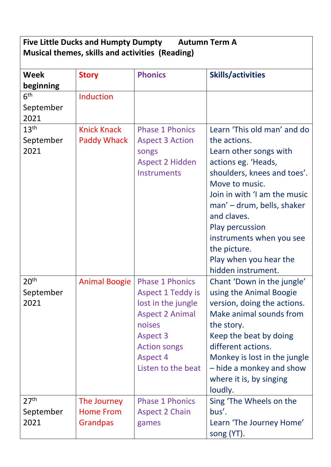| <b>Five Little Ducks and Humpty Dumpty</b><br><b>Autumn Term A</b><br>Musical themes, skills and activities (Reading) |                    |                                  |                                      |  |  |  |
|-----------------------------------------------------------------------------------------------------------------------|--------------------|----------------------------------|--------------------------------------|--|--|--|
|                                                                                                                       |                    |                                  |                                      |  |  |  |
| <b>Week</b>                                                                                                           | <b>Story</b>       | <b>Phonics</b>                   | <b>Skills/activities</b>             |  |  |  |
| beginning                                                                                                             |                    |                                  |                                      |  |  |  |
| 6 <sup>th</sup>                                                                                                       | Induction          |                                  |                                      |  |  |  |
| September<br>2021                                                                                                     |                    |                                  |                                      |  |  |  |
| 13 <sup>th</sup>                                                                                                      | <b>Knick Knack</b> | <b>Phase 1 Phonics</b>           | Learn 'This old man' and do          |  |  |  |
| September                                                                                                             | Paddy Whack        | <b>Aspect 3 Action</b>           | the actions.                         |  |  |  |
| 2021                                                                                                                  |                    | songs                            | Learn other songs with               |  |  |  |
|                                                                                                                       |                    | <b>Aspect 2 Hidden</b>           | actions eg. 'Heads,                  |  |  |  |
|                                                                                                                       |                    | Instruments                      | shoulders, knees and toes'.          |  |  |  |
|                                                                                                                       |                    |                                  | Move to music.                       |  |  |  |
|                                                                                                                       |                    |                                  | Join in with 'I am the music         |  |  |  |
|                                                                                                                       |                    |                                  | man' – drum, bells, shaker           |  |  |  |
|                                                                                                                       |                    |                                  | and claves.                          |  |  |  |
|                                                                                                                       |                    |                                  | <b>Play percussion</b>               |  |  |  |
|                                                                                                                       |                    |                                  | instruments when you see             |  |  |  |
|                                                                                                                       |                    |                                  | the picture.                         |  |  |  |
|                                                                                                                       |                    |                                  | Play when you hear the               |  |  |  |
|                                                                                                                       |                    |                                  | hidden instrument.                   |  |  |  |
| 20 <sup>th</sup>                                                                                                      | Animal Boogie      | <b>Phase 1 Phonics</b>           | Chant 'Down in the jungle'           |  |  |  |
| September                                                                                                             |                    | <b>Aspect 1 Teddy is</b>         | using the Animal Boogie              |  |  |  |
| 2021                                                                                                                  |                    | lost in the jungle               | version, doing the actions.          |  |  |  |
|                                                                                                                       |                    | <b>Aspect 2 Animal</b><br>noises | Make animal sounds from              |  |  |  |
|                                                                                                                       |                    | <b>Aspect 3</b>                  | the story.<br>Keep the beat by doing |  |  |  |
|                                                                                                                       |                    | <b>Action songs</b>              | different actions.                   |  |  |  |
|                                                                                                                       |                    | <b>Aspect 4</b>                  | Monkey is lost in the jungle         |  |  |  |
|                                                                                                                       |                    | Listen to the beat               | - hide a monkey and show             |  |  |  |
|                                                                                                                       |                    |                                  | where it is, by singing              |  |  |  |
|                                                                                                                       |                    |                                  | loudly.                              |  |  |  |
| 27 <sup>th</sup>                                                                                                      | The Journey        | <b>Phase 1 Phonics</b>           | Sing 'The Wheels on the              |  |  |  |
| September                                                                                                             | <b>Home From</b>   | <b>Aspect 2 Chain</b>            | bus'.                                |  |  |  |
| 2021                                                                                                                  | <b>Grandpas</b>    | games                            | Learn 'The Journey Home'             |  |  |  |
|                                                                                                                       |                    |                                  | song (YT).                           |  |  |  |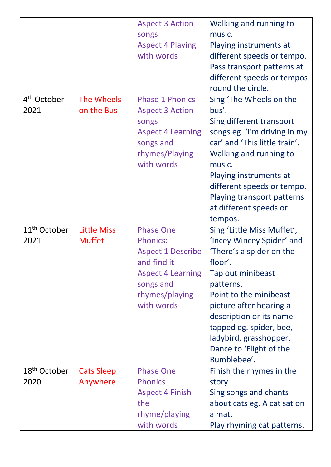|                                  |                                     | <b>Aspect 3 Action</b><br>songs<br><b>Aspect 4 Playing</b><br>with words                                                                                | Walking and running to<br>music.<br>Playing instruments at<br>different speeds or tempo.<br>Pass transport patterns at<br>different speeds or tempos<br>round the circle.                                                                                                                                       |
|----------------------------------|-------------------------------------|---------------------------------------------------------------------------------------------------------------------------------------------------------|-----------------------------------------------------------------------------------------------------------------------------------------------------------------------------------------------------------------------------------------------------------------------------------------------------------------|
| 4 <sup>th</sup> October<br>2021  | The Wheels<br>on the Bus            | <b>Phase 1 Phonics</b><br><b>Aspect 3 Action</b><br>songs<br><b>Aspect 4 Learning</b><br>songs and<br>rhymes/Playing<br>with words                      | Sing 'The Wheels on the<br>bus'.<br>Sing different transport<br>songs eg. 'I'm driving in my<br>car' and 'This little train'.<br>Walking and running to<br>music.<br>Playing instruments at<br>different speeds or tempo.<br>Playing transport patterns<br>at different speeds or<br>tempos.                    |
| 11 <sup>th</sup> October<br>2021 | <b>Little Miss</b><br><b>Muffet</b> | <b>Phase One</b><br><b>Phonics:</b><br><b>Aspect 1 Describe</b><br>and find it<br><b>Aspect 4 Learning</b><br>songs and<br>rhymes/playing<br>with words | Sing 'Little Miss Muffet',<br>'Incey Wincey Spider' and<br>'There's a spider on the<br>floor'.<br>Tap out minibeast<br>patterns.<br>Point to the minibeast<br>picture after hearing a<br>description or its name<br>tapped eg. spider, bee,<br>ladybird, grasshopper.<br>Dance to 'Flight of the<br>Bumblebee'. |
| 18 <sup>th</sup> October<br>2020 | <b>Cats Sleep</b><br>Anywhere       | <b>Phase One</b><br><b>Phonics</b><br><b>Aspect 4 Finish</b><br>the<br>rhyme/playing<br>with words                                                      | Finish the rhymes in the<br>story.<br>Sing songs and chants<br>about cats eg. A cat sat on<br>a mat.<br>Play rhyming cat patterns.                                                                                                                                                                              |